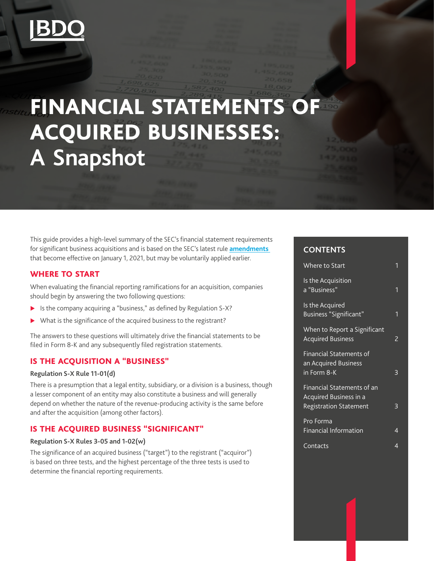

# FINANCIAL STATEMENTS OF ACQUIRED BUSINESSES: **A Snapshot**

This guide provides a high-level summary of the SEC's financial statement requirements for significant business acquisitions and is based on the SEC's latest rule **[amendments](https://www.sec.gov/rules/final/2020/33-10786.pdf)**  that become effective on January 1, 2021, but may be voluntarily applied earlier.

#### WHERE TO START

When evaluating the financial reporting ramifications for an acquisition, companies should begin by answering the two following questions:

- $\blacktriangleright$  Is the company acquiring a "business," as defined by Regulation S-X?
- $\triangleright$  What is the significance of the acquired business to the registrant?

The answers to these questions will ultimately drive the financial statements to be filed in Form 8-K and any subsequently filed registration statements.

#### IS THE ACQUISITION A "BUSINESS"

#### **Regulation S-X Rule 11-01(d)**

There is a presumption that a legal entity, subsidiary, or a division is a business, though a lesser component of an entity may also constitute a business and will generally depend on whether the nature of the revenue-producing activity is the same before and after the acquisition (among other factors).

# IS THE ACQUIRED BUSINESS "SIGNIFICANT"

#### **Regulation S-X Rules 3-05 and 1-02(w)**

The significance of an acquired business ("target") to the registrant ("acquiror") is based on three tests, and the highest percentage of the three tests is used to determine the financial reporting requirements.

## **CONTENTS**

| Where to Start                                                                               |   |
|----------------------------------------------------------------------------------------------|---|
| Is the Acquisition<br>a "Business"                                                           | 1 |
| Is the Acquired<br>Business "Significant"                                                    | 1 |
| When to Report a Significant<br><b>Acquired Business</b>                                     | 2 |
| Financial Statements of<br>an Acquired Business<br>in Form 8-K                               | ξ |
| Financial Statements of an<br><b>Acquired Business in a</b><br><b>Registration Statement</b> | 3 |
| Pro Forma<br>Financial Information                                                           | 4 |
| Contacts                                                                                     | 4 |
|                                                                                              |   |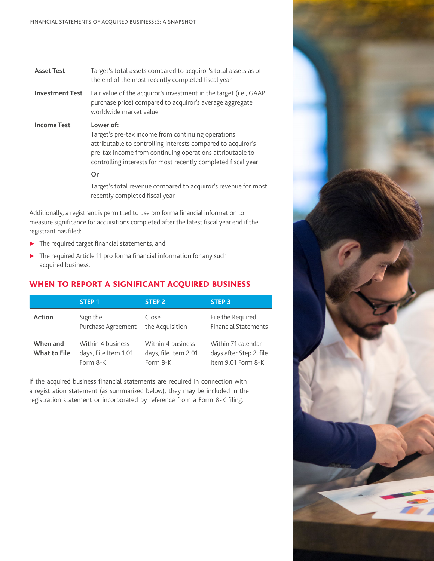<span id="page-1-0"></span>

| <b>Asset Test</b>      | Target's total assets compared to acquiror's total assets as of<br>the end of the most recently completed fiscal year                                                                                                                                         |
|------------------------|---------------------------------------------------------------------------------------------------------------------------------------------------------------------------------------------------------------------------------------------------------------|
| <b>Investment Test</b> | Fair value of the acquiror's investment in the target (i.e., GAAP<br>purchase price) compared to acquiror's average aggregate<br>worldwide market value                                                                                                       |
| <b>Income Test</b>     | Lower of:<br>Target's pre-tax income from continuing operations<br>attributable to controlling interests compared to acquiror's<br>pre-tax income from continuing operations attributable to<br>controlling interests for most recently completed fiscal year |
|                        | Or                                                                                                                                                                                                                                                            |
|                        | Target's total revenue compared to acquiror's revenue for most<br>recently completed fiscal year                                                                                                                                                              |

Additionally, a registrant is permitted to use pro forma financial information to measure significance for acquisitions completed after the latest fiscal year end if the registrant has filed:

- $\blacktriangleright$  The required target financial statements, and
- $\blacktriangleright$  The required Article 11 pro forma financial information for any such acquired business.

# WHEN TO REPORT A SIGNIFICANT ACQUIRED BUSINESS

|                                 | STEP <sub>1</sub>                                     | <b>STEP 2</b>                                         | <b>STEP 3</b>                                                       |
|---------------------------------|-------------------------------------------------------|-------------------------------------------------------|---------------------------------------------------------------------|
| <b>Action</b>                   | Sign the<br>Purchase Agreement                        | Close<br>the Acquisition                              | File the Required<br><b>Financial Statements</b>                    |
| When and<br><b>What to File</b> | Within 4 business<br>days, File Item 1.01<br>Form 8-K | Within 4 business<br>days, file Item 2.01<br>Form 8-K | Within 71 calendar<br>days after Step 2, file<br>Item 9.01 Form 8-K |

If the acquired business financial statements are required in connection with a registration statement (as summarized below), they may be included in the registration statement or incorporated by reference from a Form 8-K filing.

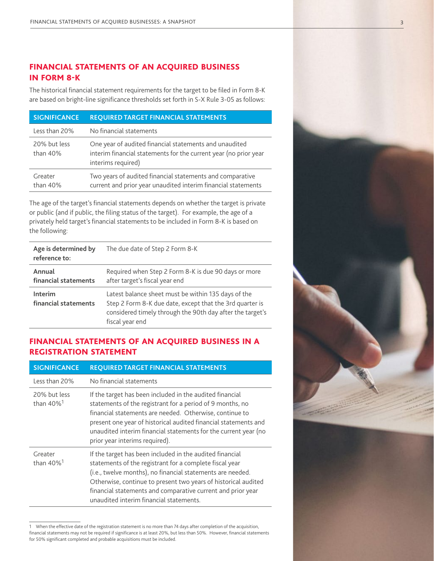# <span id="page-2-0"></span>FINANCIAL STATEMENTS OF AN ACQUIRED BUSINESS IN FORM 8-K

The historical financial statement requirements for the target to be filed in Form 8-K are based on bright-line significance thresholds set forth in S-X Rule 3-05 as follows:

| <b>SIGNIFICANCE</b>        | <b>REQUIRED TARGET FINANCIAL STATEMENTS</b>                                                                                                      |
|----------------------------|--------------------------------------------------------------------------------------------------------------------------------------------------|
| Less than 20%              | No financial statements                                                                                                                          |
| 20% but less<br>than $40%$ | One year of audited financial statements and unaudited<br>interim financial statements for the current year (no prior year<br>interims required) |
| Greater<br>than 40%        | Two years of audited financial statements and comparative<br>current and prior year unaudited interim financial statements                       |

The age of the target's financial statements depends on whether the target is private or public (and if public, the filing status of the target). For example, the age of a privately held target's financial statements to be included in Form 8-K is based on the following:

| Age is determined by<br>reference to: | The due date of Step 2 Form 8-K                                                                                                                                                                 |
|---------------------------------------|-------------------------------------------------------------------------------------------------------------------------------------------------------------------------------------------------|
| Annual<br>financial statements        | Required when Step 2 Form 8-K is due 90 days or more<br>after target's fiscal year end                                                                                                          |
| Interim<br>financial statements       | Latest balance sheet must be within 135 days of the<br>Step 2 Form 8-K due date, except that the 3rd quarter is<br>considered timely through the 90th day after the target's<br>fiscal year end |

## FINANCIAL STATEMENTS OF AN ACQUIRED BUSINESS IN A REGISTRATION STATEMENT

| <b>SIGNIFICANCE</b>                      | <b>REQUIRED TARGET FINANCIAL STATEMENTS</b>                                                                                                                                                                                                                                                                                                                   |
|------------------------------------------|---------------------------------------------------------------------------------------------------------------------------------------------------------------------------------------------------------------------------------------------------------------------------------------------------------------------------------------------------------------|
| Less than 20%                            | No financial statements                                                                                                                                                                                                                                                                                                                                       |
| 20% but less<br>than $40\%$ <sup>1</sup> | If the target has been included in the audited financial<br>statements of the registrant for a period of 9 months, no<br>financial statements are needed. Otherwise, continue to<br>present one year of historical audited financial statements and<br>unaudited interim financial statements for the current year (no<br>prior year interims required).      |
| Greater<br>than $40\%$ <sup>1</sup>      | If the target has been included in the audited financial<br>statements of the registrant for a complete fiscal year<br>(i.e., twelve months), no financial statements are needed.<br>Otherwise, continue to present two years of historical audited<br>financial statements and comparative current and prior year<br>unaudited interim financial statements. |

<sup>1</sup> When the effective date of the registration statement is no more than 74 days after completion of the acquisition, financial statements may not be required if significance is at least 20%, but less than 50%. However, financial statements for 50% significant completed and probable acquisitions must be included.